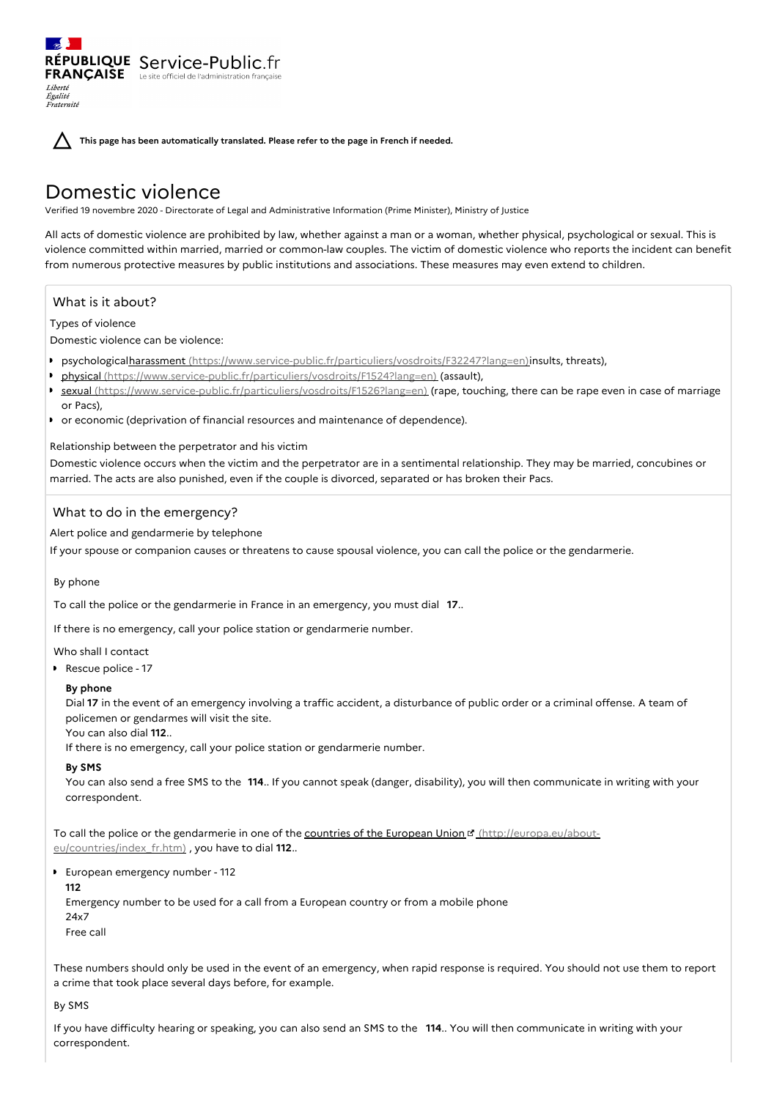**This page has been automatically translated. Please refer to the page in French if needed.**

# Domestic violence

RÉPUBLIQUE Service-Public.fr **FRANÇAISE** Le site officiel de l'administration fran

Verified 19 novembre 2020 - Directorate of Legal and Administrative Information (Prime Minister), Ministry of Justice

All acts of domestic violence are prohibited by law, whether against a man or a woman, whether physical, psychological or sexual. This is violence committed within married, married or common-law couples. The victim of domestic violence who reports the incident can benefit from numerous protective measures by public institutions and associations. These measures may even extend to children.

# What is it about?

Types of violence

Liberté Égalité Fraternité

Domestic violence can be violence:

- **psychologicalharassment** [\(https://www.service-public.fr/particuliers/vosdroits/F32247?lang=en\)](https://www.service-public.fr/particuliers/vosdroits/F32247?lang=en)insults, threats),
- physical [\(https://www.service-public.fr/particuliers/vosdroits/F1524?lang=en\)](https://www.service-public.fr/particuliers/vosdroits/F1524?lang=en) (assault),
- sexual [\(https://www.service-public.fr/particuliers/vosdroits/F1526?lang=en\)](https://www.service-public.fr/particuliers/vosdroits/F1526?lang=en) (rape, touching, there can be rape even in case of marriage or Pacs),
- or economic (deprivation of financial resources and maintenance of dependence).

# Relationship between the perpetrator and his victim

Domestic violence occurs when the victim and the perpetrator are in a sentimental relationship. They may be married, concubines or married. The acts are also punished, even if the couple is divorced, separated or has broken their Pacs.

# What to do in the emergency?

Alert police and gendarmerie by telephone

If your spouse or companion causes or threatens to cause spousal violence, you can call the police or the gendarmerie.

### By phone

To call the police or the gendarmerie in France in an emergency, you must dial **17**..

If there is no emergency, call your police station or gendarmerie number.

Who shall I contact

Rescue police - 17

# **By phone**

Dial **17** in the event of an emergency involving a traffic accident, a disturbance of public order or a criminal offense. A team of policemen or gendarmes will visit the site.

You can also dial **112**..

If there is no emergency, call your police station or gendarmerie number.

# **By SMS**

You can also send a free SMS to the **114**.. If you cannot speak (danger, disability), you will then communicate in writing with your correspondent.

To call the police or the gendarmerie in one of the countries of the European Union d' (http://europa.eu/about[eu/countries/index\\_fr.htm\)](http://europa.eu/about-eu/countries/index_fr.htm) , you have to dial **112**..

European emergency number - 112

**112**

Emergency number to be used for a call from a European country or from a mobile phone

24x7 Free call

These numbers should only be used in the event of an emergency, when rapid response is required. You should not use them to report a crime that took place several days before, for example.

### By SMS

If you have difficulty hearing or speaking, you can also send an SMS to the **114**.. You will then communicate in writing with your correspondent.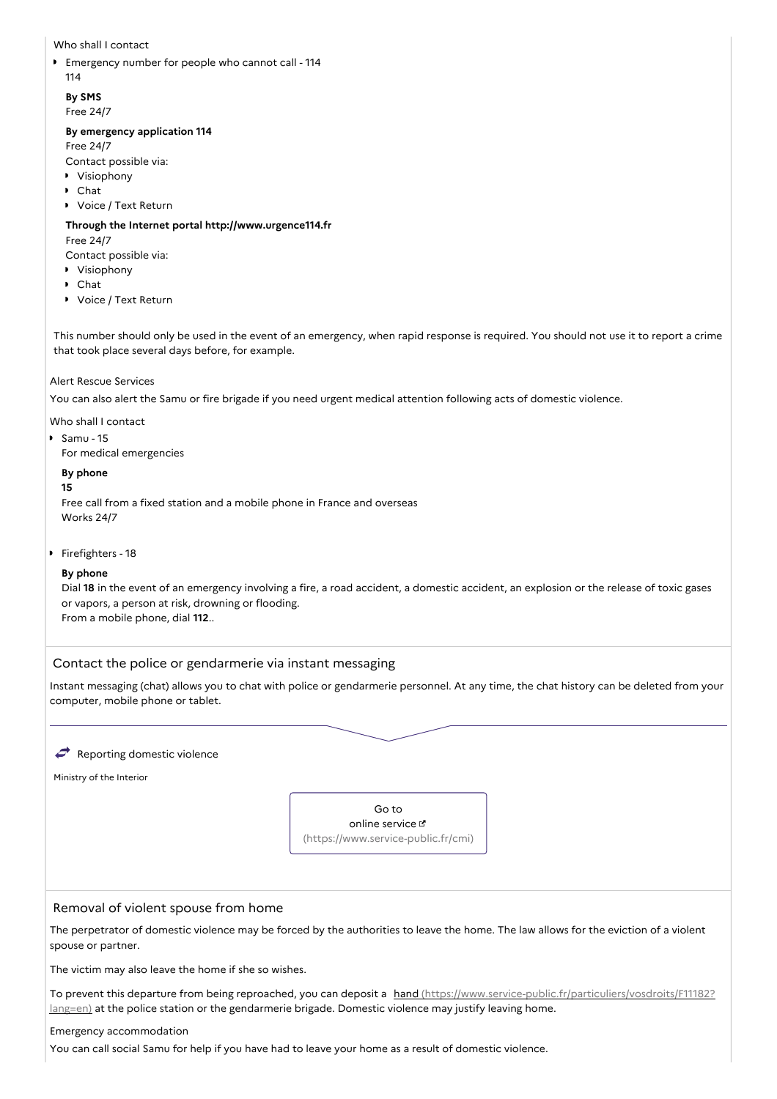Who shall I contact

Emergency number for people who cannot call - 114 114

**By SMS** Free 24/7

# **By emergency application 114**

Free 24/7

Contact possible via:

- Visiophony
- Chat
- Voice / Text Return

### **Through the Internet portal http://www.urgence114.fr**

### Free 24/7

Contact possible via:

- Visiophony
- Chat
- Voice / Text Return

This number should only be used in the event of an emergency, when rapid response is required. You should not use it to report a crime that took place several days before, for example.

### Alert Rescue Services

You can also alert the Samu or fire brigade if you need urgent medical attention following acts of domestic violence.

Who shall I contact

 $Samu - 15$ 

For medical emergencies

### **By phone**

### **15**

Free call from a fixed station and a mobile phone in France and overseas Works 24/7

# **Firefighters - 18**

### **By phone**

Dial **18** in the event of an emergency involving a fire, a road accident, a domestic accident, an explosion or the release of toxic gases or vapors, a person at risk, drowning or flooding. From a mobile phone, dial **112**..

# Contact the police or gendarmerie via instant messaging

Instant messaging (chat) allows you to chat with police or gendarmerie personnel. At any time, the chat history can be deleted from your computer, mobile phone or tablet.

### $\rightarrow$  Reporting domestic violence

Ministry of the Interior



# Removal of violent spouse from home

The perpetrator of domestic violence may be forced by the authorities to leave the home. The law allows for the eviction of a violent spouse or partner.

The victim may also leave the home if she so wishes.

To prevent this departure from being reproached, you can deposit a hand [\(https://www.service-public.fr/particuliers/vosdroits/F11182?](https://www.service-public.fr/particuliers/vosdroits/F11182?lang=en) lang=en) at the police station or the gendarmerie brigade. Domestic violence may justify leaving home.

### Emergency accommodation

You can call social Samu for help if you have had to leave your home as a result of domestic violence.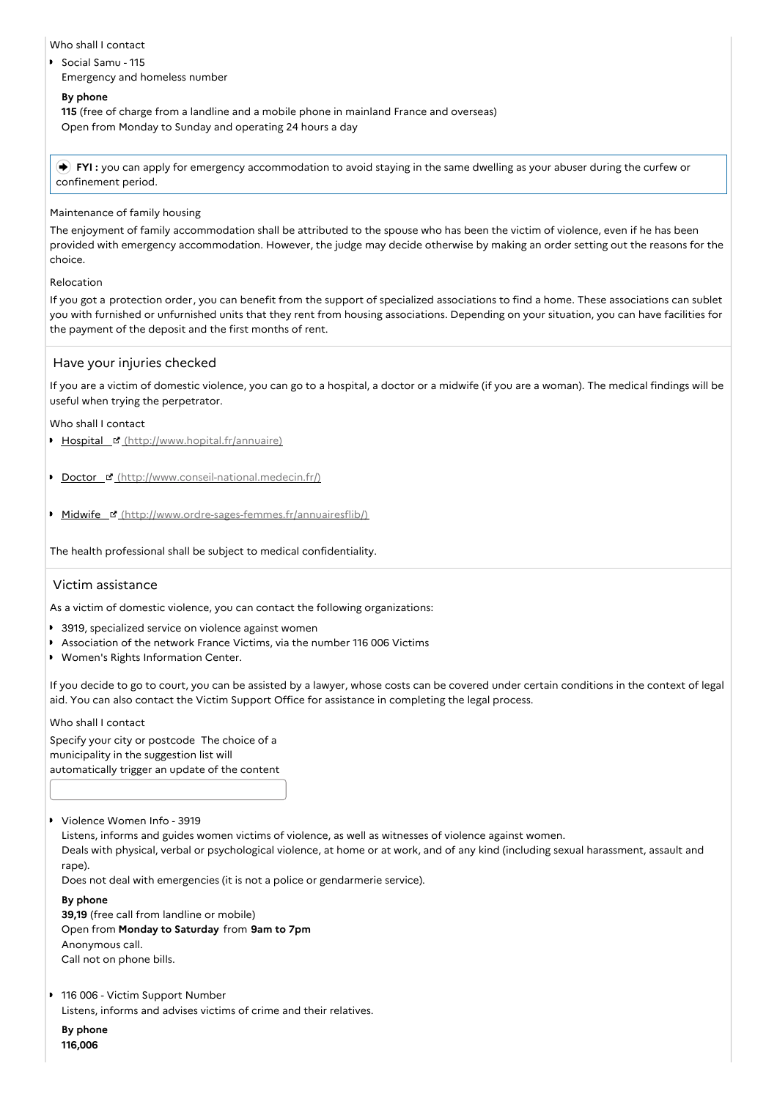# Who shall I contact

Social Samu - 115 Emergency and homeless number

# **By phone**

**115** (free of charge from a landline and a mobile phone in mainland France and overseas) Open from Monday to Sunday and operating 24 hours a day

 **FYI :** you can apply for emergency accommodation to avoid staying in the same dwelling as your abuser during the curfew or confinement period.

# Maintenance of family housing

The enjoyment of family accommodation shall be attributed to the spouse who has been the victim of violence, even if he has been provided with emergency accommodation. However, the judge may decide otherwise by making an order setting out the reasons for the choice.

# Relocation

If you got a protection order, you can benefit from the support of specialized associations to find a home. These associations can sublet you with furnished or unfurnished units that they rent from housing associations. Depending on your situation, you can have facilities for the payment of the deposit and the first months of rent.

# Have your injuries checked

If you are a victim of domestic violence, you can go to a hospital, a doctor or a midwife (if you are a woman). The medical findings will be useful when trying the perpetrator.

# Who shall I contact

- Hospital [\(http://www.hopital.fr/annuaire\)](http://www.hopital.fr/annuaire)
- Doctor & [\(http://www.conseil-national.medecin.fr/\)](http://www.conseil-national.medecin.fr/)
- Midwife & [\(http://www.ordre-sages-femmes.fr/annuairesflib/\)](http://www.ordre-sages-femmes.fr/annuairesflib/)

The health professional shall be subject to medical confidentiality.

# Victim assistance

As a victim of domestic violence, you can contact the following organizations:

- **3919**, specialized service on violence against women
- Association of the network France Victims, via the number 116 006 Victims
- Women's Rights Information Center.

If you decide to go to court, you can be assisted by a lawyer, whose costs can be covered under certain conditions in the context of legal aid. You can also contact the Victim Support Office for assistance in completing the legal process.

Who shall I contact

Specify your city or postcode The choice of a municipality in the suggestion list will automatically trigger an update of the content

Violence Women Info - 3919

Listens, informs and guides women victims of violence, as well as witnesses of violence against women. Deals with physical, verbal or psychological violence, at home or at work, and of any kind (including sexual harassment, assault and rape).

Does not deal with emergencies (it is not a police or gendarmerie service).

**By phone**

**39,19** (free call from landline or mobile) Open from **Monday to Saturday** from **9am to 7pm** Anonymous call. Call not on phone bills.

■ 116 006 - Victim Support Number Listens, informs and advises victims of crime and their relatives.

**By phone 116,006**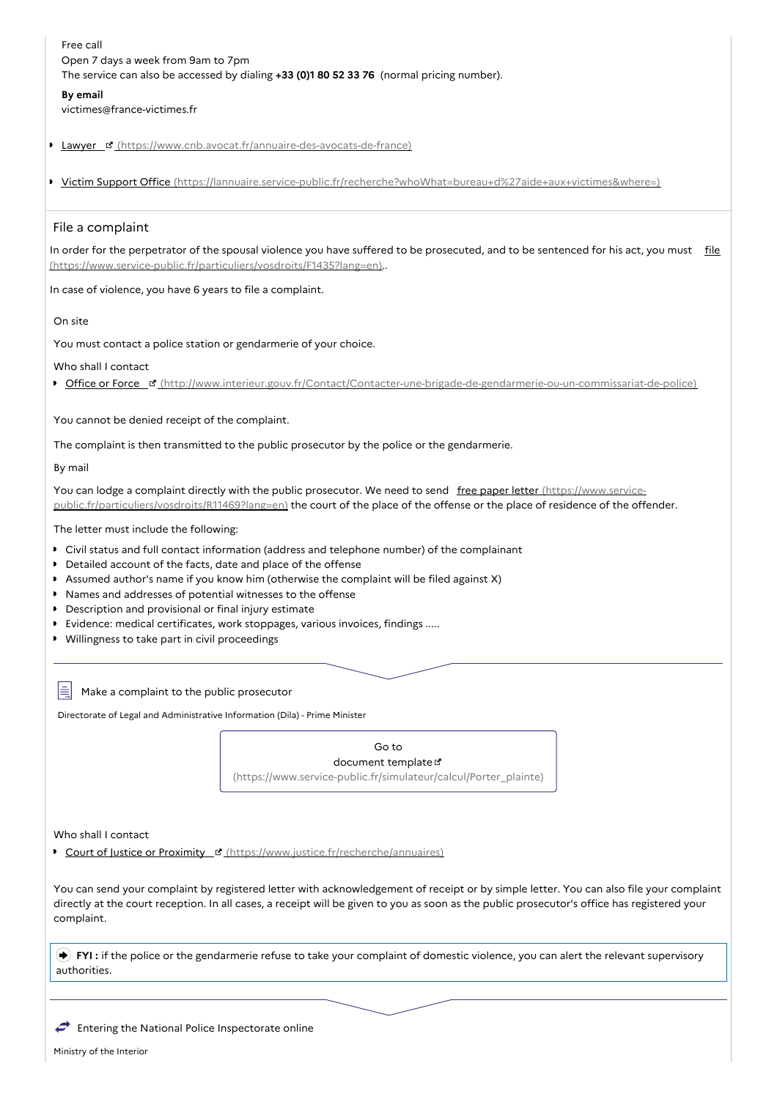Free call Open 7 days a week from 9am to 7pm The service can also be accessed by dialing **+33 (0)1 80 52 33 76** (normal pricing number).

#### **By email**

victimes@france-victimes.fr

Lawyer E' [\(https://www.cnb.avocat.fr/annuaire-des-avocats-de-france\)](https://www.cnb.avocat.fr/annuaire-des-avocats-de-france)

■ Victim Support Office [\(https://lannuaire.service-public.fr/recherche?whoWhat=bureau+d%27aide+aux+victimes&where=\)](https://lannuaire.service-public.fr/recherche?whoWhat=bureau+d%2527aide+aux+victimes&where=)

### File a complaint

In order for the perpetrator of the spousal violence you have suffered to be prosecuted, and to be sentenced for his act, you must file [\(https://www.service-public.fr/particuliers/vosdroits/F1435?lang=en\)..](https://www.service-public.fr/particuliers/vosdroits/F1435?lang=en)

In case of violence, you have 6 years to file a complaint.

On site

You must contact a police station or gendarmerie of your choice.

Who shall I contact

Office or Force [c' [\(http://www.interieur.gouv.fr/Contact/Contacter-une-brigade-de-gendarmerie-ou-un-commissariat-de-police\)](http://www.interieur.gouv.fr/Contact/Contacter-une-brigade-de-gendarmerie-ou-un-commissariat-de-police)

You cannot be denied receipt of the complaint.

The complaint is then transmitted to the public prosecutor by the police or the gendarmerie.

By mail

You can lodge a complaint directly with the public prosecutor. We need to send free paper letter (https://www.service[public.fr/particuliers/vosdroits/R11469?lang=en\)](https://www.service-public.fr/particuliers/vosdroits/R11469?lang=en) the court of the place of the offense or the place of residence of the offender.

The letter must include the following:

- Civil status and full contact information (address and telephone number) of the complainant
- Detailed account of the facts, date and place of the offense
- Assumed author's name if you know him (otherwise the complaint will be filed against X)
- Names and addresses of potential witnesses to the offense
- **Description and provisional or final injury estimate**
- Evidence: medical certificates, work stoppages, various invoices, findings .....
- Willingness to take part in civil proceedings

Ħ Make a complaint to the public prosecutor

Directorate of Legal and Administrative Information (Dila) - Prime Minister

Go to document template [\(https://www.service-public.fr/simulateur/calcul/Porter\\_plainte\)](https://www.service-public.fr/simulateur/calcul/Porter_plainte)

Who shall I contact

Court of Justice or Proximity **E** [\(https://www.justice.fr/recherche/annuaires\)](https://www.justice.fr/recherche/annuaires)

You can send your complaint by registered letter with acknowledgement of receipt or by simple letter. You can also file your complaint directly at the court reception. In all cases, a receipt will be given to you as soon as the public prosecutor's office has registered your complaint.

**FYI** : if the police or the gendarmerie refuse to take your complaint of domestic violence, you can alert the relevant supervisory authorities.

C Entering the National Police Inspectorate online

Ministry of the Interior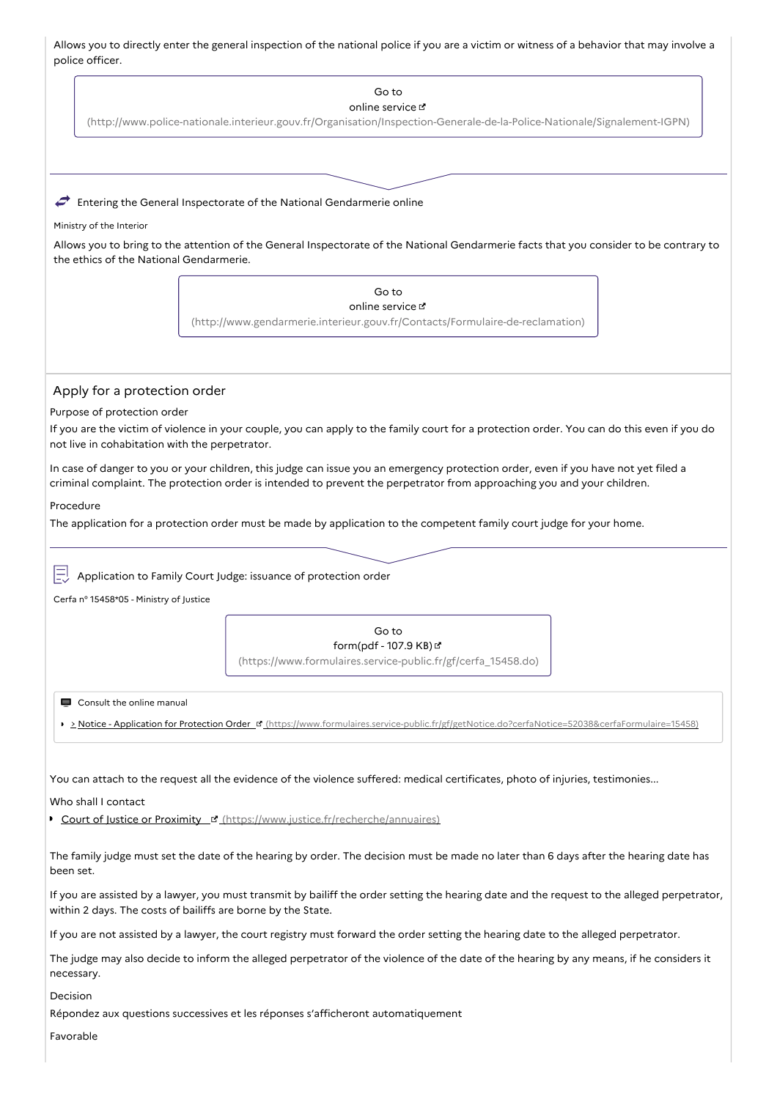Allows you to directly enter the general inspection of the national police if you are a victim or witness of a behavior that may involve a police officer.

| יוטיוורה הוווהרוי                                                             |                                                                                                                                                                                                                                                                |
|-------------------------------------------------------------------------------|----------------------------------------------------------------------------------------------------------------------------------------------------------------------------------------------------------------------------------------------------------------|
|                                                                               | Go to                                                                                                                                                                                                                                                          |
|                                                                               | online service L'                                                                                                                                                                                                                                              |
|                                                                               | (http://www.police-nationale.interieur.gouv.fr/Organisation/Inspection-Generale-de-la-Police-Nationale/Signalement-IGPN)                                                                                                                                       |
|                                                                               | Entering the General Inspectorate of the National Gendarmerie online                                                                                                                                                                                           |
| Ministry of the Interior                                                      |                                                                                                                                                                                                                                                                |
| the ethics of the National Gendarmerie.                                       | Allows you to bring to the attention of the General Inspectorate of the National Gendarmerie facts that you consider to be contrary to                                                                                                                         |
|                                                                               | Go to                                                                                                                                                                                                                                                          |
|                                                                               | online service &<br>(http://www.gendarmerie.interieur.gouv.fr/Contacts/Formulaire-de-reclamation)                                                                                                                                                              |
| Apply for a protection order                                                  |                                                                                                                                                                                                                                                                |
| Purpose of protection order<br>not live in cohabitation with the perpetrator. | If you are the victim of violence in your couple, you can apply to the family court for a protection order. You can do this even if you do                                                                                                                     |
|                                                                               | In case of danger to you or your children, this judge can issue you an emergency protection order, even if you have not yet filed a<br>criminal complaint. The protection order is intended to prevent the perpetrator from approaching you and your children. |
| Procedure                                                                     |                                                                                                                                                                                                                                                                |
|                                                                               | The application for a protection order must be made by application to the competent family court judge for your home.                                                                                                                                          |
| Cerfa nº 15458*05 - Ministry of Justice                                       | Application to Family Court Judge: issuance of protection order                                                                                                                                                                                                |
|                                                                               | Go to<br>form(pdf - 107.9 KB) பீ<br>(https://www.formulaires.service-public.fr/gf/cerfa_15458.do)                                                                                                                                                              |
| Consult the online manual                                                     |                                                                                                                                                                                                                                                                |
|                                                                               | > > Notice - Application for Protection Order F (https://www.formulaires.service-public.fr/gf/getNotice.do?cerfaNotice=52038&cerfaFormulaire=15458)                                                                                                            |
| Who shall I contact                                                           | You can attach to the request all the evidence of the violence suffered: medical certificates, photo of injuries, testimonies                                                                                                                                  |
|                                                                               | Court of Justice or Proximity La (https://www.justice.fr/recherche/annuaires)                                                                                                                                                                                  |
| been set.                                                                     | The family judge must set the date of the hearing by order. The decision must be made no later than 6 days after the hearing date has                                                                                                                          |
| within 2 days. The costs of bailiffs are borne by the State.                  | If you are assisted by a lawyer, you must transmit by bailiff the order setting the hearing date and the request to the alleged perpetrator,                                                                                                                   |
|                                                                               | If you are not assisted by a lawyer, the court registry must forward the order setting the hearing date to the alleged perpetrator.                                                                                                                            |
| necessary.                                                                    | The judge may also decide to inform the alleged perpetrator of the violence of the date of the hearing by any means, if he considers it                                                                                                                        |
| Decision                                                                      | Répondez aux questions successives et les réponses s'afficheront automatiquement                                                                                                                                                                               |
| Favorable                                                                     |                                                                                                                                                                                                                                                                |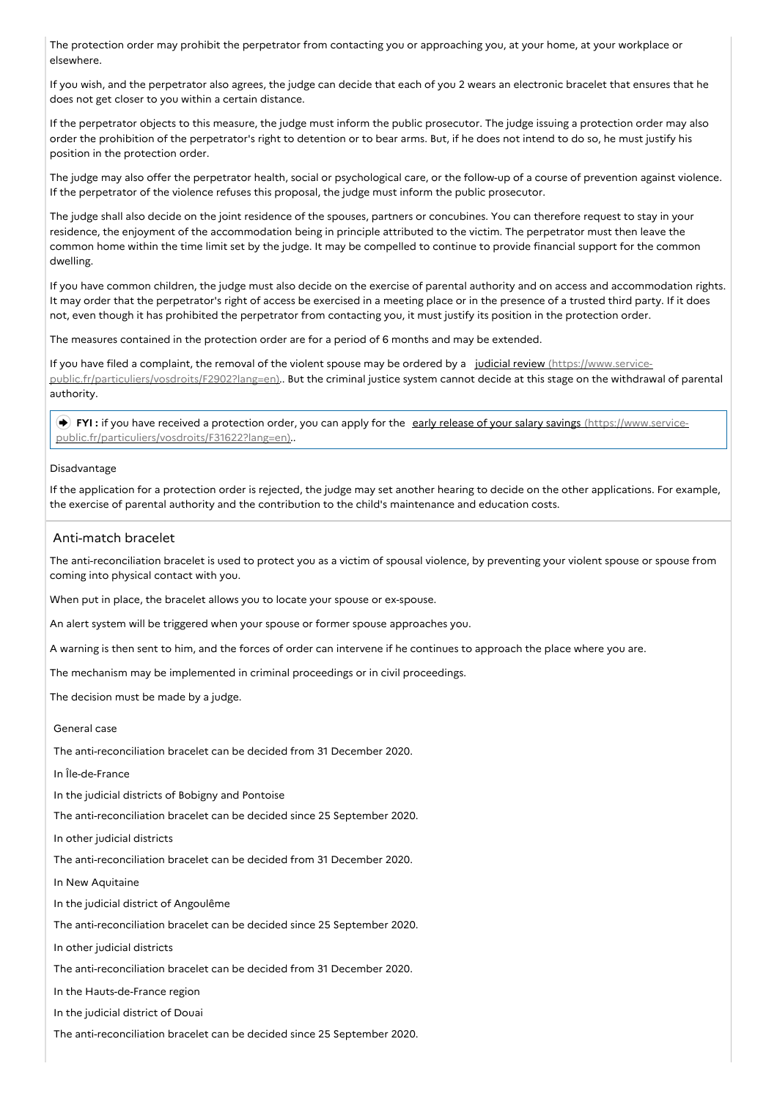The protection order may prohibit the perpetrator from contacting you or approaching you, at your home, at your workplace or elsewhere.

If you wish, and the perpetrator also agrees, the judge can decide that each of you 2 wears an electronic bracelet that ensures that he does not get closer to you within a certain distance.

If the perpetrator objects to this measure, the judge must inform the public prosecutor. The judge issuing a protection order may also order the prohibition of the perpetrator's right to detention or to bear arms. But, if he does not intend to do so, he must justify his position in the protection order.

The judge may also offer the perpetrator health, social or psychological care, or the follow-up of a course of prevention against violence. If the perpetrator of the violence refuses this proposal, the judge must inform the public prosecutor.

The judge shall also decide on the joint residence of the spouses, partners or concubines. You can therefore request to stay in your residence, the enjoyment of the accommodation being in principle attributed to the victim. The perpetrator must then leave the common home within the time limit set by the judge. It may be compelled to continue to provide financial support for the common dwelling.

If you have common children, the judge must also decide on the exercise of parental authority and on access and accommodation rights. It may order that the perpetrator's right of access be exercised in a meeting place or in the presence of a trusted third party. If it does not, even though it has prohibited the perpetrator from contacting you, it must justify its position in the protection order.

The measures contained in the protection order are for a period of 6 months and may be extended.

If you have filed a complaint, the removal of the violent spouse may be ordered by a judicial review (https://www.service[public.fr/particuliers/vosdroits/F2902?lang=en\)..](https://www.service-public.fr/particuliers/vosdroits/F2902?lang=en) But the criminal justice system cannot decide at this stage on the withdrawal of parental authority.

FYI: if you have received a protection order, you can apply for the early release of your salary savings (https://www.service[public.fr/particuliers/vosdroits/F31622?lang=en\)..](https://www.service-public.fr/particuliers/vosdroits/F31622?lang=en)

### Disadvantage

If the application for a protection order is rejected, the judge may set another hearing to decide on the other applications. For example, the exercise of parental authority and the contribution to the child's maintenance and education costs.

# Anti-match bracelet

The anti-reconciliation bracelet is used to protect you as a victim of spousal violence, by preventing your violent spouse or spouse from coming into physical contact with you.

When put in place, the bracelet allows you to locate your spouse or ex-spouse.

An alert system will be triggered when your spouse or former spouse approaches you.

A warning is then sent to him, and the forces of order can intervene if he continues to approach the place where you are.

The mechanism may be implemented in criminal proceedings or in civil proceedings.

The decision must be made by a judge.

# General case

The anti-reconciliation bracelet can be decided from 31 December 2020.

In Île-de-France

In the judicial districts of Bobigny and Pontoise

The anti-reconciliation bracelet can be decided since 25 September 2020.

In other judicial districts

The anti-reconciliation bracelet can be decided from 31 December 2020.

In New Aquitaine

In the judicial district of Angoulême

The anti-reconciliation bracelet can be decided since 25 September 2020.

In other judicial districts

The anti-reconciliation bracelet can be decided from 31 December 2020.

In the Hauts-de-France region

In the judicial district of Douai

The anti-reconciliation bracelet can be decided since 25 September 2020.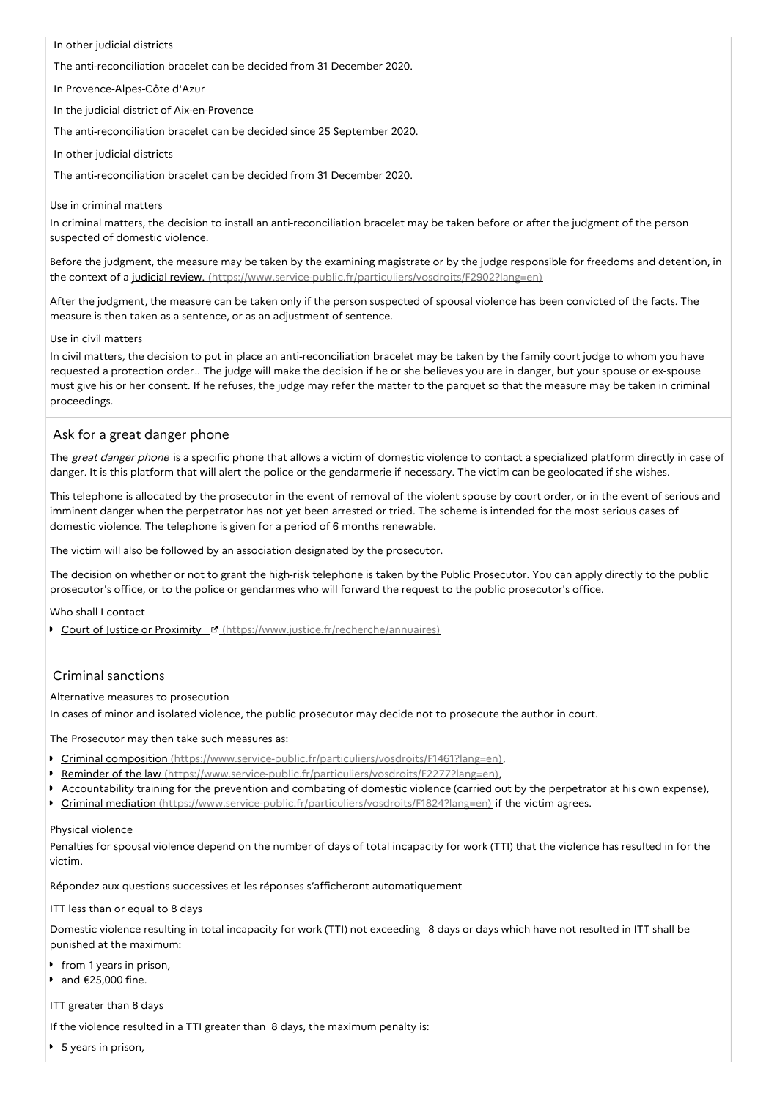### In other judicial districts

The anti-reconciliation bracelet can be decided from 31 December 2020.

In Provence-Alpes-Côte d'Azur

In the judicial district of Aix-en-Provence

The anti-reconciliation bracelet can be decided since 25 September 2020.

In other judicial districts

The anti-reconciliation bracelet can be decided from 31 December 2020.

### Use in criminal matters

In criminal matters, the decision to install an anti-reconciliation bracelet may be taken before or after the judgment of the person suspected of domestic violence.

Before the judgment, the measure may be taken by the examining magistrate or by the judge responsible for freedoms and detention, in the context of a judicial review. [\(https://www.service-public.fr/particuliers/vosdroits/F2902?lang=en\)](https://www.service-public.fr/particuliers/vosdroits/F2902?lang=en)

After the judgment, the measure can be taken only if the person suspected of spousal violence has been convicted of the facts. The measure is then taken as a sentence, or as an adjustment of sentence.

### Use in civil matters

In civil matters, the decision to put in place an anti-reconciliation bracelet may be taken by the family court judge to whom you have requested a protection order.. The judge will make the decision if he or she believes you are in danger, but your spouse or ex-spouse must give his or her consent. If he refuses, the judge may refer the matter to the parquet so that the measure may be taken in criminal proceedings.

# Ask for a great danger phone

The great danger phone is a specific phone that allows a victim of domestic violence to contact a specialized platform directly in case of danger. It is this platform that will alert the police or the gendarmerie if necessary. The victim can be geolocated if she wishes.

This telephone is allocated by the prosecutor in the event of removal of the violent spouse by court order, or in the event of serious and imminent danger when the perpetrator has not yet been arrested or tried. The scheme is intended for the most serious cases of domestic violence. The telephone is given for a period of 6 months renewable.

The victim will also be followed by an association designated by the prosecutor.

The decision on whether or not to grant the high-risk telephone is taken by the Public Prosecutor. You can apply directly to the public prosecutor's office, or to the police or gendarmes who will forward the request to the public prosecutor's office.

Who shall I contact

Court of Justice or Proximity F [\(https://www.justice.fr/recherche/annuaires\)](https://www.justice.fr/recherche/annuaires)

### Criminal sanctions

Alternative measures to prosecution

In cases of minor and isolated violence, the public prosecutor may decide not to prosecute the author in court.

The Prosecutor may then take such measures as:

- Criminal composition [\(https://www.service-public.fr/particuliers/vosdroits/F1461?lang=en\)](https://www.service-public.fr/particuliers/vosdroits/F1461?lang=en),
- Reminder of the law [\(https://www.service-public.fr/particuliers/vosdroits/F2277?lang=en\)](https://www.service-public.fr/particuliers/vosdroits/F2277?lang=en),
- Accountability training for the prevention and combating of domestic violence (carried out by the perpetrator at his own expense),
- **Criminal mediation** [\(https://www.service-public.fr/particuliers/vosdroits/F1824?lang=en\)](https://www.service-public.fr/particuliers/vosdroits/F1824?lang=en) if the victim agrees.

### Physical violence

Penalties for spousal violence depend on the number of days of total incapacity for work (TTI) that the violence has resulted in for the victim.

Répondez aux questions successives et les réponses s'afficheront automatiquement

ITT less than or equal to 8 days

Domestic violence resulting in total incapacity for work (TTI) not exceeding 8 days or days which have not resulted in ITT shall be punished at the maximum:

- **from 1 years in prison,**
- and €25,000 fine.

ITT greater than 8 days

If the violence resulted in a TTI greater than 8 days, the maximum penalty is:

■ 5 years in prison,